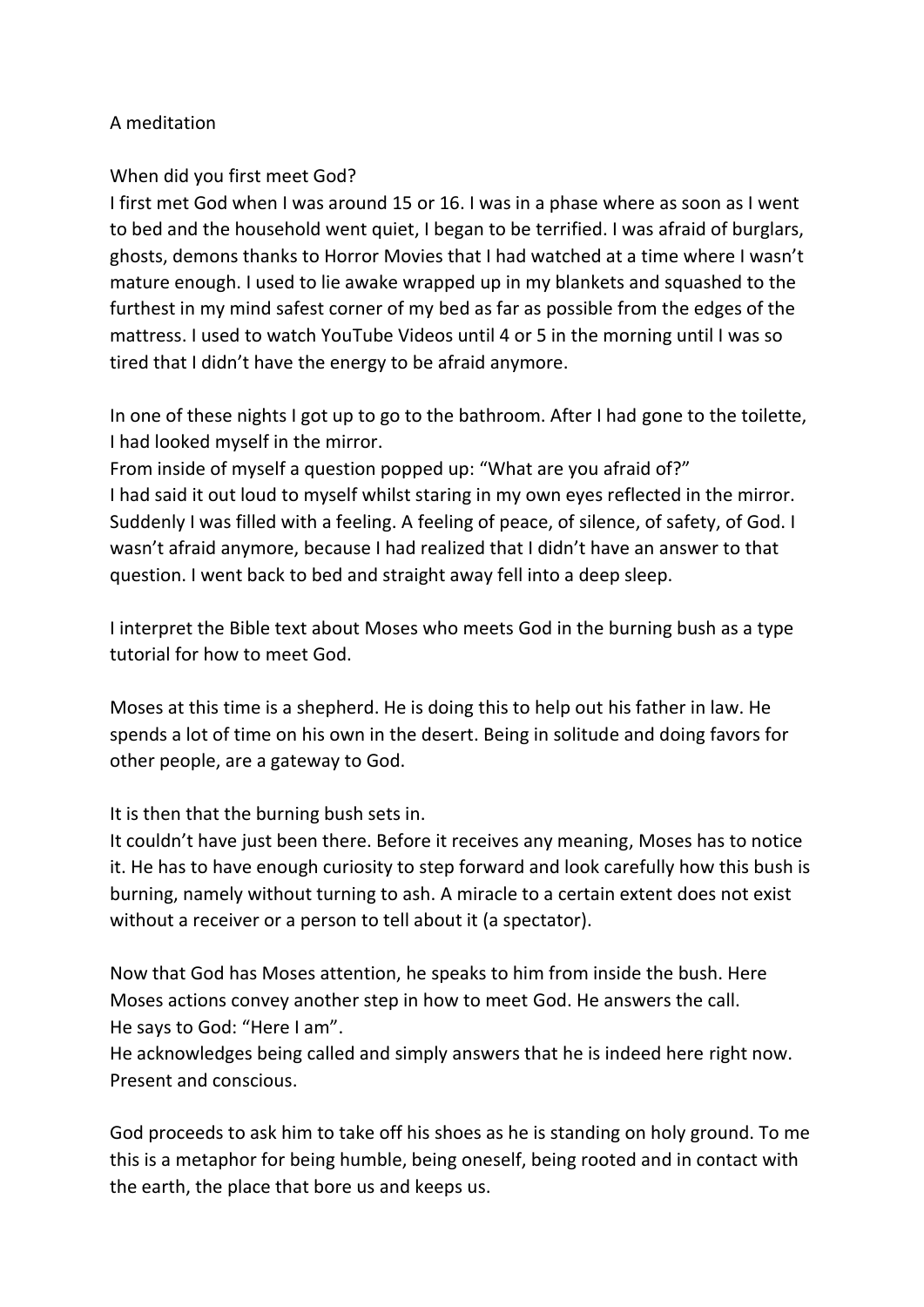## A meditation

## When did you first meet God?

I first met God when I was around 15 or 16. I was in a phase where as soon as I went to bed and the household went quiet, I began to be terrified. I was afraid of burglars, ghosts, demons thanks to Horror Movies that I had watched at a time where I wasn't mature enough. I used to lie awake wrapped up in my blankets and squashed to the furthest in my mind safest corner of my bed as far as possible from the edges of the mattress. I used to watch YouTube Videos until 4 or 5 in the morning until I was so tired that I didn't have the energy to be afraid anymore.

In one of these nights I got up to go to the bathroom. After I had gone to the toilette, I had looked myself in the mirror.

From inside of myself a question popped up: "What are you afraid of?" I had said it out loud to myself whilst staring in my own eyes reflected in the mirror. Suddenly I was filled with a feeling. A feeling of peace, of silence, of safety, of God. I wasn't afraid anymore, because I had realized that I didn't have an answer to that question. I went back to bed and straight away fell into a deep sleep.

I interpret the Bible text about Moses who meets God in the burning bush as a type tutorial for how to meet God.

Moses at this time is a shepherd. He is doing this to help out his father in law. He spends a lot of time on his own in the desert. Being in solitude and doing favors for other people, are a gateway to God.

It is then that the burning bush sets in.

It couldn't have just been there. Before it receives any meaning, Moses has to notice it. He has to have enough curiosity to step forward and look carefully how this bush is burning, namely without turning to ash. A miracle to a certain extent does not exist without a receiver or a person to tell about it (a spectator).

Now that God has Moses attention, he speaks to him from inside the bush. Here Moses actions convey another step in how to meet God. He answers the call. He says to God: "Here I am".

He acknowledges being called and simply answers that he is indeed here right now. Present and conscious.

God proceeds to ask him to take off his shoes as he is standing on holy ground. To me this is a metaphor for being humble, being oneself, being rooted and in contact with the earth, the place that bore us and keeps us.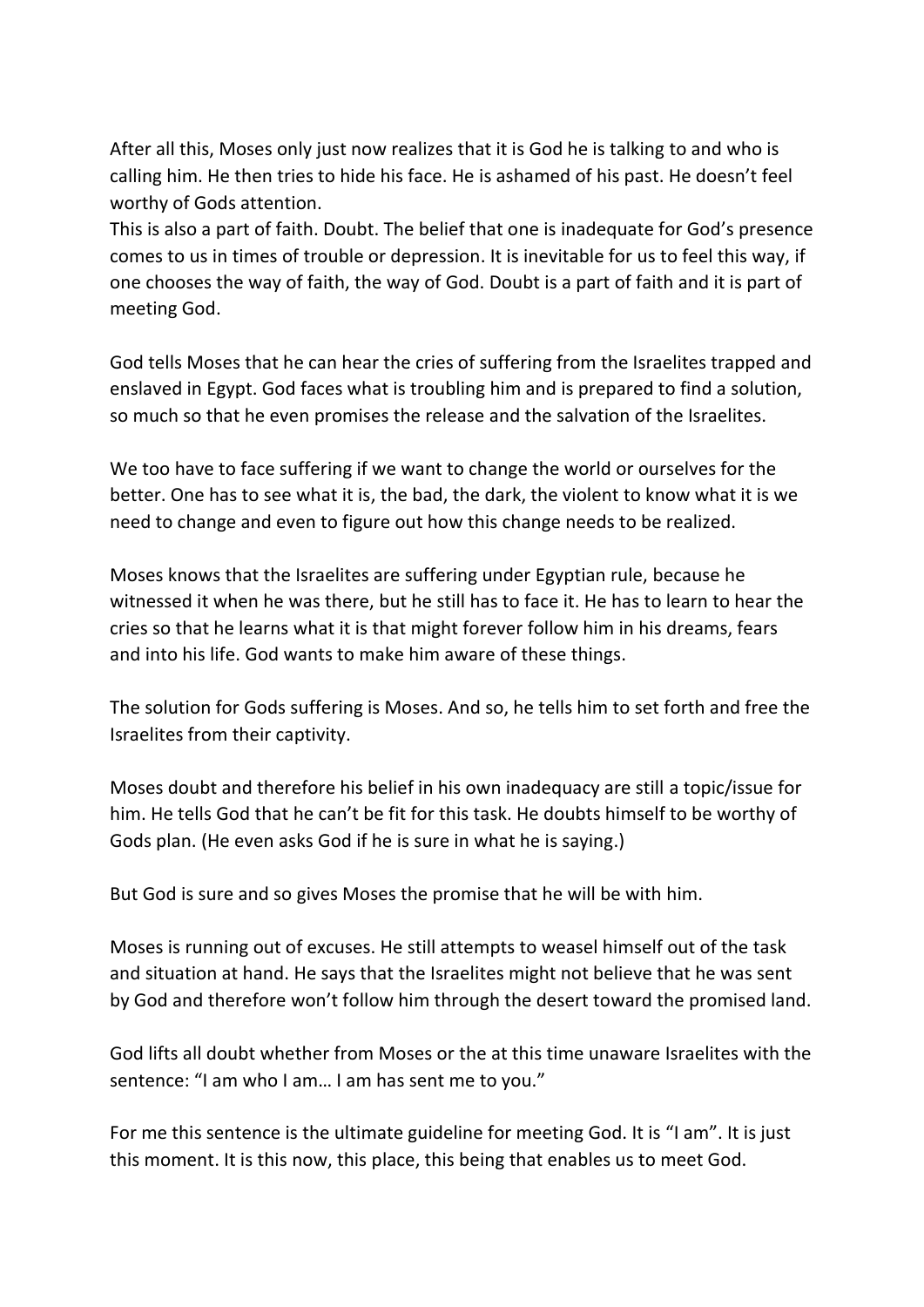After all this, Moses only just now realizes that it is God he is talking to and who is calling him. He then tries to hide his face. He is ashamed of his past. He doesn't feel worthy of Gods attention.

This is also a part of faith. Doubt. The belief that one is inadequate for God's presence comes to us in times of trouble or depression. It is inevitable for us to feel this way, if one chooses the way of faith, the way of God. Doubt is a part of faith and it is part of meeting God.

God tells Moses that he can hear the cries of suffering from the Israelites trapped and enslaved in Egypt. God faces what is troubling him and is prepared to find a solution, so much so that he even promises the release and the salvation of the Israelites.

We too have to face suffering if we want to change the world or ourselves for the better. One has to see what it is, the bad, the dark, the violent to know what it is we need to change and even to figure out how this change needs to be realized.

Moses knows that the Israelites are suffering under Egyptian rule, because he witnessed it when he was there, but he still has to face it. He has to learn to hear the cries so that he learns what it is that might forever follow him in his dreams, fears and into his life. God wants to make him aware of these things.

The solution for Gods suffering is Moses. And so, he tells him to set forth and free the Israelites from their captivity.

Moses doubt and therefore his belief in his own inadequacy are still a topic/issue for him. He tells God that he can't be fit for this task. He doubts himself to be worthy of Gods plan. (He even asks God if he is sure in what he is saying.)

But God is sure and so gives Moses the promise that he will be with him.

Moses is running out of excuses. He still attempts to weasel himself out of the task and situation at hand. He says that the Israelites might not believe that he was sent by God and therefore won't follow him through the desert toward the promised land.

God lifts all doubt whether from Moses or the at this time unaware Israelites with the sentence: "I am who I am… I am has sent me to you."

For me this sentence is the ultimate guideline for meeting God. It is "I am". It is just this moment. It is this now, this place, this being that enables us to meet God.